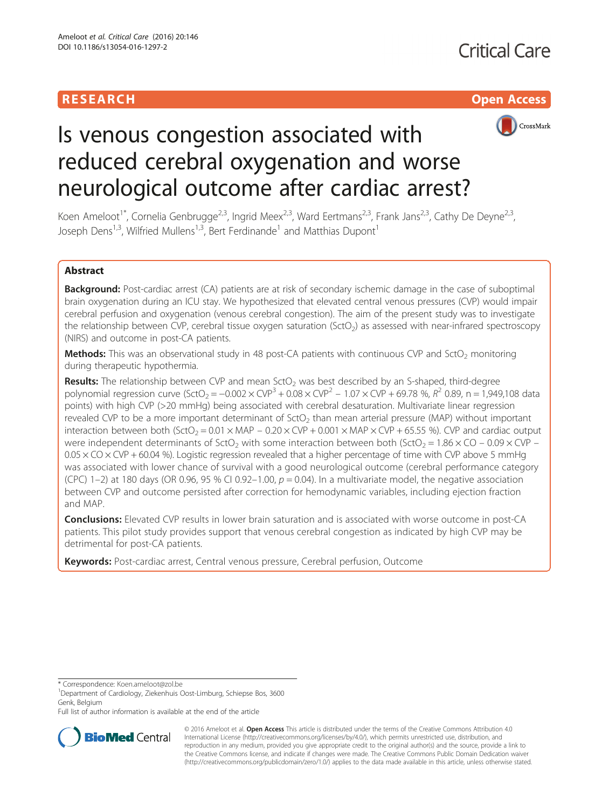



# Is venous congestion associated with reduced cerebral oxygenation and worse neurological outcome after cardiac arrest?

Koen Ameloot<sup>1\*</sup>, Cornelia Genbrugge<sup>2,3</sup>, Ingrid Meex<sup>2,3</sup>, Ward Eertmans<sup>2,3</sup>, Frank Jans<sup>2,3</sup>, Cathy De Deyne<sup>2,3</sup>, Joseph Dens<sup>1,3</sup>, Wilfried Mullens<sup>1,3</sup>, Bert Ferdinande<sup>1</sup> and Matthias Dupont<sup>1</sup>

# Abstract

Background: Post-cardiac arrest (CA) patients are at risk of secondary ischemic damage in the case of suboptimal brain oxygenation during an ICU stay. We hypothesized that elevated central venous pressures (CVP) would impair cerebral perfusion and oxygenation (venous cerebral congestion). The aim of the present study was to investigate the relationship between CVP, cerebral tissue oxygen saturation (SctO<sub>2</sub>) as assessed with near-infrared spectroscopy (NIRS) and outcome in post-CA patients.

**Methods:** This was an observational study in 48 post-CA patients with continuous CVP and SctO<sub>2</sub> monitoring during therapeutic hypothermia.

**Results:** The relationship between CVP and mean SctO<sub>2</sub> was best described by an S-shaped, third-degree polynomial regression curve (SctO<sub>2</sub> = -0.002 × CVP<sup>3</sup> + 0.08 × CVP<sup>2</sup> – 1.07 × CVP + 69.78 %, R<sup>2</sup> 0.89, n = 1,949,108 data points) with high CVP (>20 mmHg) being associated with cerebral desaturation. Multivariate linear regression revealed CVP to be a more important determinant of  $SctO<sub>2</sub>$  than mean arterial pressure (MAP) without important interaction between both (SctO<sub>2</sub> =  $0.01 \times \text{MAP}$  –  $0.20 \times \text{CVP}$  + 0.001  $\times$  MAP  $\times$  CVP + 65.55 %). CVP and cardiac output were independent determinants of SctO<sub>2</sub> with some interaction between both (SctO<sub>2</sub> = 1.86  $\times$  CO – 0.09  $\times$  CVP –  $0.05 \times$  CO  $\times$  CVP + 60.04 %). Logistic regression revealed that a higher percentage of time with CVP above 5 mmHg was associated with lower chance of survival with a good neurological outcome (cerebral performance category (CPC) 1–2) at 180 days (OR 0.96, 95 % CI 0.92–1.00,  $p = 0.04$ ). In a multivariate model, the negative association between CVP and outcome persisted after correction for hemodynamic variables, including ejection fraction and MAP.

**Conclusions:** Elevated CVP results in lower brain saturation and is associated with worse outcome in post-CA patients. This pilot study provides support that venous cerebral congestion as indicated by high CVP may be detrimental for post-CA patients.

Keywords: Post-cardiac arrest, Central venous pressure, Cerebral perfusion, Outcome

\* Correspondence: [Koen.ameloot@zol.be](mailto:Koen.ameloot@zol.be) <sup>1</sup>

<sup>1</sup>Department of Cardiology, Ziekenhuis Oost-Limburg, Schiepse Bos, 3600 Genk, Belgium

Full list of author information is available at the end of the article



© 2016 Ameloot et al. **Open Access** This article is distributed under the terms of the Creative Commons Attribution 4.0 International License [\(http://creativecommons.org/licenses/by/4.0/](http://creativecommons.org/licenses/by/4.0/)), which permits unrestricted use, distribution, and reproduction in any medium, provided you give appropriate credit to the original author(s) and the source, provide a link to the Creative Commons license, and indicate if changes were made. The Creative Commons Public Domain Dedication waiver [\(http://creativecommons.org/publicdomain/zero/1.0/](http://creativecommons.org/publicdomain/zero/1.0/)) applies to the data made available in this article, unless otherwise stated.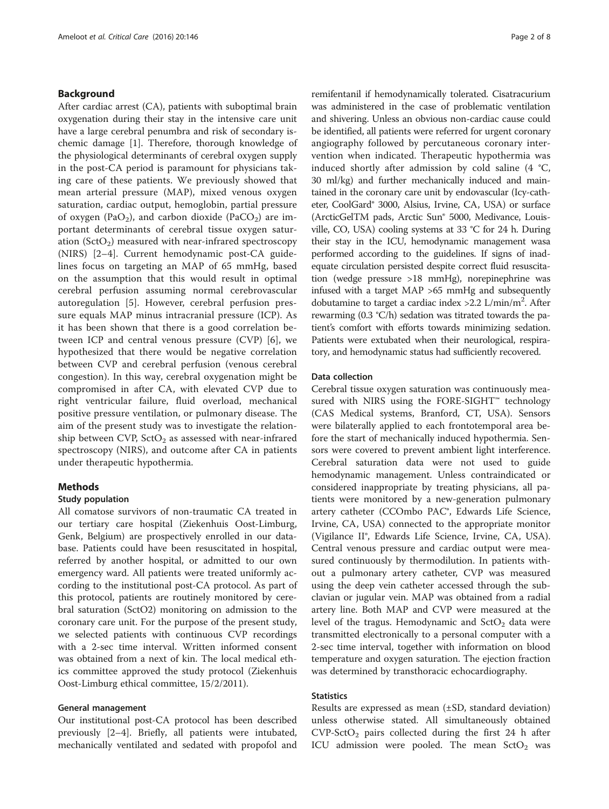# Background

After cardiac arrest (CA), patients with suboptimal brain oxygenation during their stay in the intensive care unit have a large cerebral penumbra and risk of secondary ischemic damage [[1\]](#page-7-0). Therefore, thorough knowledge of the physiological determinants of cerebral oxygen supply in the post-CA period is paramount for physicians taking care of these patients. We previously showed that mean arterial pressure (MAP), mixed venous oxygen saturation, cardiac output, hemoglobin, partial pressure of oxygen (PaO<sub>2</sub>), and carbon dioxide (PaCO<sub>2</sub>) are important determinants of cerebral tissue oxygen saturation  $(SctO<sub>2</sub>)$  measured with near-infrared spectroscopy (NIRS) [\[2](#page-7-0)–[4](#page-7-0)]. Current hemodynamic post-CA guidelines focus on targeting an MAP of 65 mmHg, based on the assumption that this would result in optimal cerebral perfusion assuming normal cerebrovascular autoregulation [[5\]](#page-7-0). However, cerebral perfusion pressure equals MAP minus intracranial pressure (ICP). As it has been shown that there is a good correlation between ICP and central venous pressure (CVP) [\[6](#page-7-0)], we hypothesized that there would be negative correlation between CVP and cerebral perfusion (venous cerebral congestion). In this way, cerebral oxygenation might be compromised in after CA, with elevated CVP due to right ventricular failure, fluid overload, mechanical positive pressure ventilation, or pulmonary disease. The aim of the present study was to investigate the relationship between CVP,  $SctO<sub>2</sub>$  as assessed with near-infrared spectroscopy (NIRS), and outcome after CA in patients under therapeutic hypothermia.

### Methods

#### Study population

All comatose survivors of non-traumatic CA treated in our tertiary care hospital (Ziekenhuis Oost-Limburg, Genk, Belgium) are prospectively enrolled in our database. Patients could have been resuscitated in hospital, referred by another hospital, or admitted to our own emergency ward. All patients were treated uniformly according to the institutional post-CA protocol. As part of this protocol, patients are routinely monitored by cerebral saturation (SctO2) monitoring on admission to the coronary care unit. For the purpose of the present study, we selected patients with continuous CVP recordings with a 2-sec time interval. Written informed consent was obtained from a next of kin. The local medical ethics committee approved the study protocol (Ziekenhuis Oost-Limburg ethical committee, 15/2/2011).

### General management

Our institutional post-CA protocol has been described previously [[2](#page-7-0)–[4](#page-7-0)]. Briefly, all patients were intubated, mechanically ventilated and sedated with propofol and remifentanil if hemodynamically tolerated. Cisatracurium was administered in the case of problematic ventilation and shivering. Unless an obvious non-cardiac cause could be identified, all patients were referred for urgent coronary angiography followed by percutaneous coronary intervention when indicated. Therapeutic hypothermia was induced shortly after admission by cold saline (4 °C, 30 ml/kg) and further mechanically induced and maintained in the coronary care unit by endovascular (Icy-catheter, CoolGard® 3000, Alsius, Irvine, CA, USA) or surface (ArcticGelTM pads, Arctic Sun® 5000, Medivance, Louisville, CO, USA) cooling systems at 33 °C for 24 h. During their stay in the ICU, hemodynamic management wasa performed according to the guidelines. If signs of inadequate circulation persisted despite correct fluid resuscitation (wedge pressure >18 mmHg), norepinephrine was infused with a target MAP >65 mmHg and subsequently dobutamine to target a cardiac index >2.2 L/min/m<sup>2</sup>. After rewarming (0.3 °C/h) sedation was titrated towards the patient's comfort with efforts towards minimizing sedation. Patients were extubated when their neurological, respiratory, and hemodynamic status had sufficiently recovered.

#### Data collection

Cerebral tissue oxygen saturation was continuously measured with NIRS using the FORE-SIGHT™ technology (CAS Medical systems, Branford, CT, USA). Sensors were bilaterally applied to each frontotemporal area before the start of mechanically induced hypothermia. Sensors were covered to prevent ambient light interference. Cerebral saturation data were not used to guide hemodynamic management. Unless contraindicated or considered inappropriate by treating physicians, all patients were monitored by a new-generation pulmonary artery catheter (CCOmbo PAC®, Edwards Life Science, Irvine, CA, USA) connected to the appropriate monitor (Vigilance II®, Edwards Life Science, Irvine, CA, USA). Central venous pressure and cardiac output were measured continuously by thermodilution. In patients without a pulmonary artery catheter, CVP was measured using the deep vein catheter accessed through the subclavian or jugular vein. MAP was obtained from a radial artery line. Both MAP and CVP were measured at the level of the tragus. Hemodynamic and  $StO<sub>2</sub>$  data were transmitted electronically to a personal computer with a 2-sec time interval, together with information on blood temperature and oxygen saturation. The ejection fraction was determined by transthoracic echocardiography.

# **Statistics**

Results are expressed as mean (±SD, standard deviation) unless otherwise stated. All simultaneously obtained  $CVP-SctO<sub>2</sub>$  pairs collected during the first 24 h after ICU admission were pooled. The mean  $SctO<sub>2</sub>$  was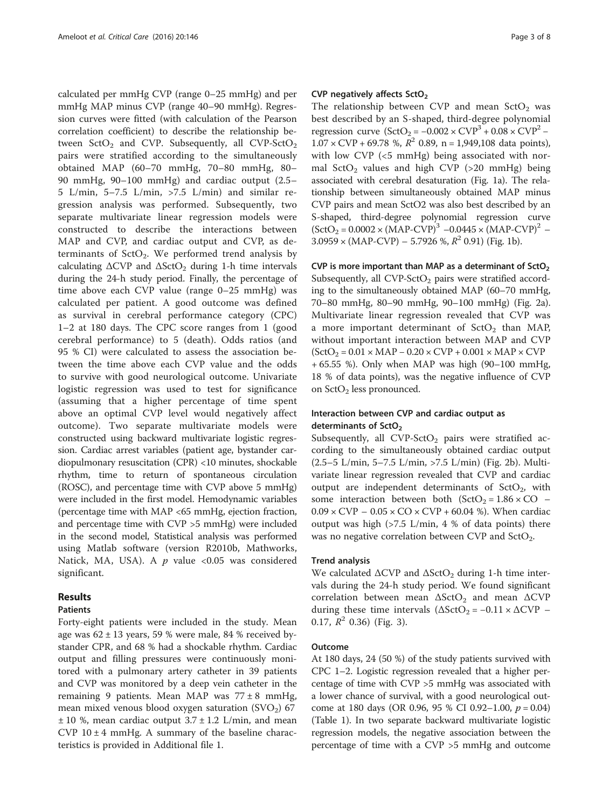calculated per mmHg CVP (range 0–25 mmHg) and per mmHg MAP minus CVP (range 40–90 mmHg). Regression curves were fitted (with calculation of the Pearson correlation coefficient) to describe the relationship between  $SctO<sub>2</sub>$  and CVP. Subsequently, all CVP-SctO<sub>2</sub> pairs were stratified according to the simultaneously obtained MAP (60–70 mmHg, 70–80 mmHg, 80– 90 mmHg, 90–100 mmHg) and cardiac output (2.5– 5 L/min, 5–7.5 L/min, >7.5 L/min) and similar regression analysis was performed. Subsequently, two separate multivariate linear regression models were constructed to describe the interactions between MAP and CVP, and cardiac output and CVP, as determinants of  $SctO<sub>2</sub>$ . We performed trend analysis by calculating  $\Delta$ CVP and  $\Delta$ SctO<sub>2</sub> during 1-h time intervals during the 24-h study period. Finally, the percentage of time above each CVP value (range 0–25 mmHg) was calculated per patient. A good outcome was defined as survival in cerebral performance category (CPC) 1–2 at 180 days. The CPC score ranges from 1 (good cerebral performance) to 5 (death). Odds ratios (and 95 % CI) were calculated to assess the association between the time above each CVP value and the odds to survive with good neurological outcome. Univariate logistic regression was used to test for significance (assuming that a higher percentage of time spent above an optimal CVP level would negatively affect outcome). Two separate multivariate models were constructed using backward multivariate logistic regression. Cardiac arrest variables (patient age, bystander cardiopulmonary resuscitation (CPR) <10 minutes, shockable rhythm, time to return of spontaneous circulation (ROSC), and percentage time with CVP above 5 mmHg) were included in the first model. Hemodynamic variables (percentage time with MAP <65 mmHg, ejection fraction, and percentage time with CVP >5 mmHg) were included in the second model, Statistical analysis was performed using Matlab software (version R2010b, Mathworks, Natick, MA, USA). A  $p$  value <0.05 was considered significant.

# Results

#### Patients

Forty-eight patients were included in the study. Mean age was  $62 \pm 13$  years, 59 % were male, 84 % received bystander CPR, and 68 % had a shockable rhythm. Cardiac output and filling pressures were continuously monitored with a pulmonary artery catheter in 39 patients and CVP was monitored by a deep vein catheter in the remaining 9 patients. Mean MAP was 77 ± 8 mmHg, mean mixed venous blood oxygen saturation  $(SVO<sub>2</sub>)$  67  $\pm$  10 %, mean cardiac output 3.7  $\pm$  1.2 L/min, and mean CVP  $10 \pm 4$  mmHg. A summary of the baseline characteristics is provided in Additional file [1](#page-7-0).

# CVP negatively affects  $SctO<sub>2</sub>$

The relationship between CVP and mean  $StO<sub>2</sub>$  was best described by an S-shaped, third-degree polynomial regression curve  $(SctO<sub>2</sub> = -0.002 \times CVP<sup>3</sup> + 0.08 \times CVP<sup>2</sup> 1.07 \times \text{CVP} + 69.78$  %,  $R^2$  0.89, n = 1,949,108 data points), with low CVP (<5 mmHg) being associated with normal SctO<sub>2</sub> values and high CVP (>20 mmHg) being associated with cerebral desaturation (Fig. [1a](#page-3-0)). The relationship between simultaneously obtained MAP minus CVP pairs and mean SctO2 was also best described by an S-shaped, third-degree polynomial regression curve  $(SctO<sub>2</sub> = 0.0002 \times (MAP-CVP)<sup>3</sup> -0.0445 \times (MAP-CVP)<sup>2</sup> 3.0959 \times (MAP-CVP) - 5.7926 \%$ ,  $R^2$  0.91) (Fig. [1b\)](#page-3-0).

CVP is more important than MAP as a determinant of  $SctO<sub>2</sub>$ Subsequently, all  $CVP-SctO<sub>2</sub>$  pairs were stratified according to the simultaneously obtained MAP (60–70 mmHg, 70–80 mmHg, 80–90 mmHg, 90–100 mmHg) (Fig. [2a](#page-4-0)). Multivariate linear regression revealed that CVP was a more important determinant of  $SctO<sub>2</sub>$  than MAP, without important interaction between MAP and CVP  $(SctO<sub>2</sub> = 0.01 \times MAP - 0.20 \times CVP + 0.001 \times MAP \times CVP$ + 65.55 %). Only when MAP was high (90–100 mmHg, 18 % of data points), was the negative influence of CVP on SctO<sub>2</sub> less pronounced.

# Interaction between CVP and cardiac output as determinants of  $SctO<sub>2</sub>$

Subsequently, all  $CVP-5ctO<sub>2</sub>$  pairs were stratified according to the simultaneously obtained cardiac output (2.5–5 L/min, 5–7.5 L/min, >7.5 L/min) (Fig. [2b\)](#page-4-0). Multivariate linear regression revealed that CVP and cardiac output are independent determinants of  $SctO<sub>2</sub>$ , with some interaction between both  $(SctO<sub>2</sub> = 1.86 \times CO$  –  $0.09 \times \text{CVP} - 0.05 \times \text{CO} \times \text{CVP} + 60.04$  %). When cardiac output was high (>7.5 L/min, 4 % of data points) there was no negative correlation between CVP and  $SctO<sub>2</sub>$ .

#### Trend analysis

We calculated  $\Delta$ CVP and  $\Delta$ SctO<sub>2</sub> during 1-h time intervals during the 24-h study period. We found significant correlation between mean  $\Delta$ SctO<sub>2</sub> and mean  $\Delta$ CVP during these time intervals  $(\Delta \text{SctO}_2 = -0.11 \times \Delta \text{CVP})$  – 0.17,  $R^2$  0.36) (Fig. [3](#page-5-0)).

#### Outcome

At 180 days, 24 (50 %) of the study patients survived with CPC 1–2. Logistic regression revealed that a higher percentage of time with CVP >5 mmHg was associated with a lower chance of survival, with a good neurological outcome at 180 days (OR 0.96, 95 % CI 0.92–1.00,  $p = 0.04$ ) (Table [1](#page-5-0)). In two separate backward multivariate logistic regression models, the negative association between the percentage of time with a CVP >5 mmHg and outcome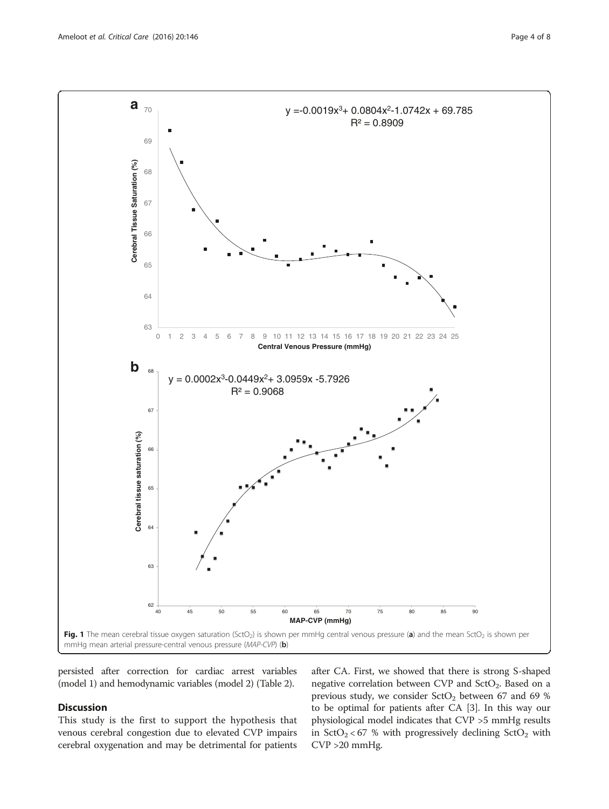<span id="page-3-0"></span>

persisted after correction for cardiac arrest variables (model 1) and hemodynamic variables (model 2) (Table [2\)](#page-5-0).

# Discussion

This study is the first to support the hypothesis that venous cerebral congestion due to elevated CVP impairs cerebral oxygenation and may be detrimental for patients

after CA. First, we showed that there is strong S-shaped negative correlation between CVP and  $StO<sub>2</sub>$ . Based on a previous study, we consider  $SctO<sub>2</sub>$  between 67 and 69 % to be optimal for patients after CA [[3](#page-7-0)]. In this way our physiological model indicates that CVP >5 mmHg results in  $StO_2 < 67$  % with progressively declining  $StO_2$  with CVP >20 mmHg.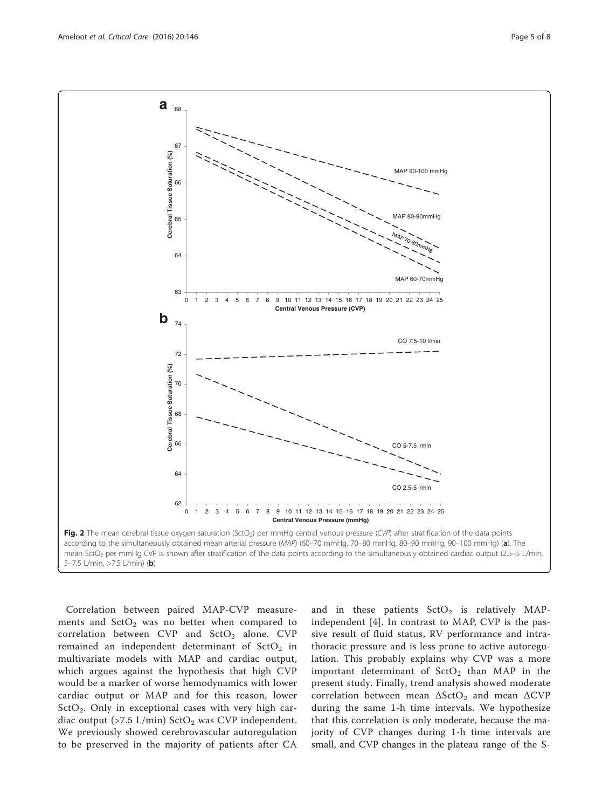<span id="page-4-0"></span>

Correlation between paired MAP-CVP measurements and  $StO<sub>2</sub>$  was no better when compared to correlation between CVP and  $SctO<sub>2</sub>$  alone. CVP remained an independent determinant of  $SctO<sub>2</sub>$  in multivariate models with MAP and cardiac output, which argues against the hypothesis that high CVP would be a marker of worse hemodynamics with lower cardiac output or MAP and for this reason, lower  $StO<sub>2</sub>$ . Only in exceptional cases with very high cardiac output (>7.5 L/min)  $\text{StO}_2$  was CVP independent. We previously showed cerebrovascular autoregulation to be preserved in the majority of patients after CA and in these patients  $SctO<sub>2</sub>$  is relatively MAPindependent [[4\]](#page-7-0). In contrast to MAP, CVP is the passive result of fluid status, RV performance and intrathoracic pressure and is less prone to active autoregulation. This probably explains why CVP was a more important determinant of  $SctO<sub>2</sub>$  than MAP in the present study. Finally, trend analysis showed moderate correlation between mean  $\Delta$ SctO<sub>2</sub> and mean  $\Delta$ CVP during the same 1-h time intervals. We hypothesize that this correlation is only moderate, because the majority of CVP changes during 1-h time intervals are small, and CVP changes in the plateau range of the S-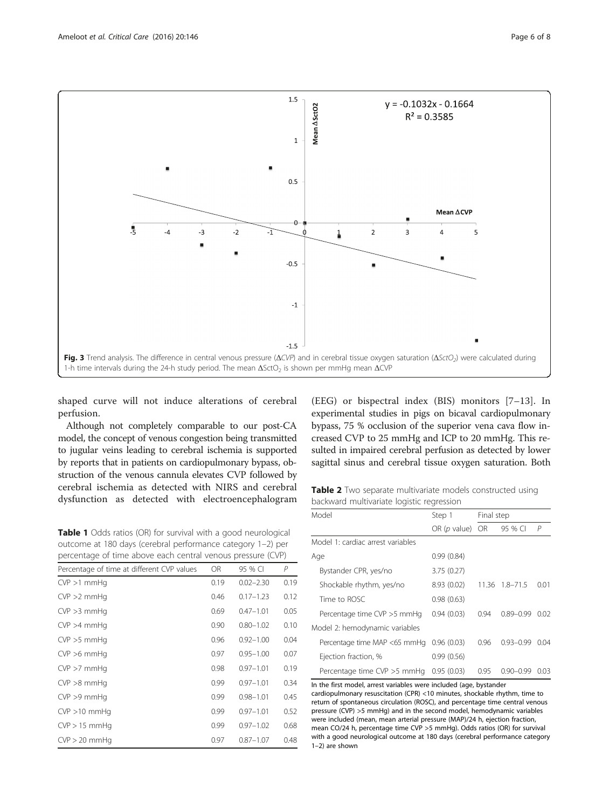<span id="page-5-0"></span>

shaped curve will not induce alterations of cerebral perfusion.

Although not completely comparable to our post-CA model, the concept of venous congestion being transmitted to jugular veins leading to cerebral ischemia is supported by reports that in patients on cardiopulmonary bypass, obstruction of the venous cannula elevates CVP followed by cerebral ischemia as detected with NIRS and cerebral dysfunction as detected with electroencephalogram

(EEG) or bispectral index (BIS) monitors [[7](#page-7-0)–[13\]](#page-7-0). In experimental studies in pigs on bicaval cardiopulmonary bypass, 75 % occlusion of the superior vena cava flow increased CVP to 25 mmHg and ICP to 20 mmHg. This resulted in impaired cerebral perfusion as detected by lower sagittal sinus and cerebral tissue oxygen saturation. Both

Table 2 Two separate multivariate models constructed using backward multivariate logistic regression

|                                                                                                         |      |               |              | Model                                                                                                                                                      | Step 1         | Final step |                      |      |  |
|---------------------------------------------------------------------------------------------------------|------|---------------|--------------|------------------------------------------------------------------------------------------------------------------------------------------------------------|----------------|------------|----------------------|------|--|
|                                                                                                         |      |               |              |                                                                                                                                                            | OR $(p$ value) | <b>OR</b>  | 95 % CI              | P    |  |
| or survival with a good neurological<br>bral performance category 1-2) per                              |      |               |              | Model 1: cardiac arrest variables                                                                                                                          |                |            |                      |      |  |
| each central venous pressure (CVP)                                                                      |      |               |              | Age                                                                                                                                                        | 0.99(0.84)     |            |                      |      |  |
| t CVP values                                                                                            | OR.  | 95 % CI       | $\mathcal P$ | Bystander CPR, yes/no                                                                                                                                      | 3.75(0.27)     |            |                      |      |  |
|                                                                                                         | 0.19 | $0.02 - 2.30$ | 0.19         | Shockable rhythm, yes/no                                                                                                                                   | 8.93(0.02)     |            | 11.36 1.8-71.5       | 0.01 |  |
|                                                                                                         | 0.46 | $0.17 - 1.23$ | 0.12         | Time to ROSC                                                                                                                                               | 0.98(0.63)     |            |                      |      |  |
|                                                                                                         | 0.69 | $0.47 - 1.01$ | 0.05         | Percentage time CVP > 5 mmHg                                                                                                                               | 0.94(0.03)     | 0.94       | $0.89 - 0.99$        | 0.02 |  |
|                                                                                                         | 0.90 | $0.80 - 1.02$ | 0.10         | Model 2: hemodynamic variables                                                                                                                             |                |            |                      |      |  |
|                                                                                                         | 0.96 | $0.92 - 1.00$ | 0.04         | Percentage time MAP <65 mmHg 0.96 (0.03)                                                                                                                   |                | 0.96       | $0.93 - 0.99$        | 0.04 |  |
|                                                                                                         | 0.97 | $0.95 - 1.00$ | 0.07         | Ejection fraction, %                                                                                                                                       | 0.99(0.56)     |            |                      |      |  |
|                                                                                                         | 0.98 | $0.97 - 1.01$ | 0.19         | Percentage time CVP $>5$ mmHg 0.95 (0.03)                                                                                                                  |                | 0.95       | $0.90 - 0.99$ $0.03$ |      |  |
|                                                                                                         | 0.99 | $0.97 - 1.01$ | 0.34         | In the first model, arrest variables were included (age, bystander                                                                                         |                |            |                      |      |  |
|                                                                                                         | 0.99 | $0.98 - 1.01$ | 0.45         | cardiopulmonary resuscitation (CPR) <10 minutes, shockable rhythm, time to<br>return of spontaneous circulation (ROSC), and percentage time central venous |                |            |                      |      |  |
| pressure (CVP) >5 mmHg) and in the second model, hemodynamic variables<br>0.99<br>$0.97 - 1.01$<br>0.52 |      |               |              |                                                                                                                                                            |                |            |                      |      |  |
|                                                                                                         | 0.00 | 007 102       | 0.68         | were included (mean, mean arterial pressure (MAP)/24 h, ejection fraction,                                                                                 |                |            |                      |      |  |

| <b>Table 1</b> Odds ratios (OR) for survival with a good neurological |     |         |                |  |  |
|-----------------------------------------------------------------------|-----|---------|----------------|--|--|
| outcome at 180 days (cerebral performance category 1-2) per           |     |         |                |  |  |
| percentage of time above each central venous pressure (CVP)           |     |         |                |  |  |
| Percentage of time at different CVP values                            | OR. | 95 % CL | $\overline{P}$ |  |  |

| I CICCIRAGE OF MIRE AL UNICICIRE CVI VARACS | $\sim$ | 77 79 CI      |      |
|---------------------------------------------|--------|---------------|------|
| $CVP > 1$ mmHq                              | 0.19   | $0.02 - 2.30$ | 0.19 |
| $CVP > 2$ mmHq                              | 0.46   | $0.17 - 1.23$ | 0.12 |
| $CVP > 3$ mmHq                              | 0.69   | $0.47 - 1.01$ | 0.05 |
| $CVP > 4$ mmHq                              | 0.90   | $0.80 - 1.02$ | 0.10 |
| $CVP > 5$ mmHq                              | 0.96   | $0.92 - 1.00$ | 0.04 |
| $CVP > 6$ mmHq                              | 0.97   | $0.95 - 1.00$ | 0.07 |
| $CVP > 7$ mmHq                              | 0.98   | $0.97 - 1.01$ | 0.19 |
| $CVP > 8$ mmHq                              | 0.99   | $0.97 - 1.01$ | 0.34 |
| $CVP > 9$ mmHq                              | 0.99   | $0.98 - 1.01$ | 0.45 |
| $CVP > 10$ mmHq                             | 0.99   | $0.97 - 1.01$ | 0.52 |
| $CVP > 15$ mmHq                             | 0.99   | $0.97 - 1.02$ | 0.68 |
| $CVP > 20$ mmHg                             | 0.97   | $0.87 - 1.07$ | 0.48 |

| in the mst model, anest vanables were included (age, bystander               |
|------------------------------------------------------------------------------|
| cardiopulmonary resuscitation (CPR) <10 minutes, shockable rhythm, time to   |
| return of spontaneous circulation (ROSC), and percentage time central venous |
| pressure $(CVP) > 5$ mmHg) and in the second model, hemodynamic variables    |
| were included (mean, mean arterial pressure (MAP)/24 h, ejection fraction,   |
| mean CO/24 h, percentage time CVP >5 mmHg). Odds ratios (OR) for survival    |
| with a good neurological outcome at 180 days (cerebral performance category  |
| $1-2$ ) are shown                                                            |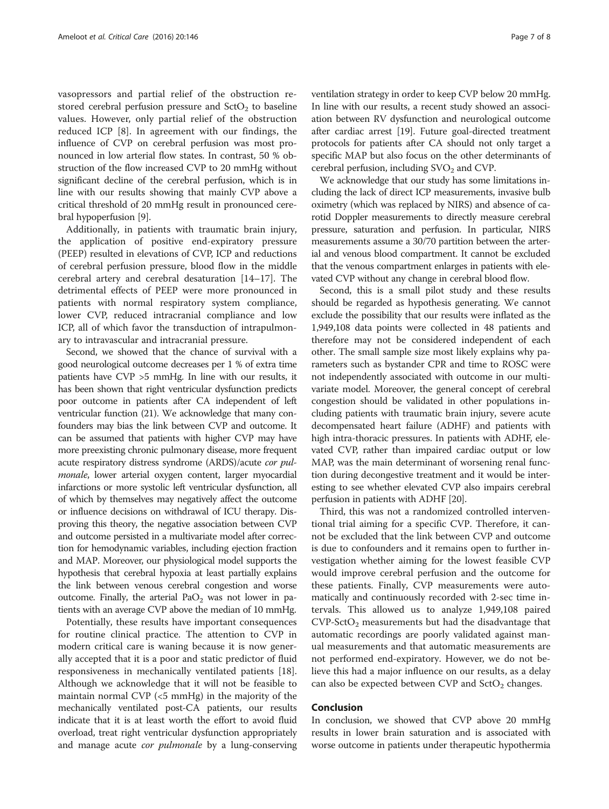vasopressors and partial relief of the obstruction restored cerebral perfusion pressure and  $SctO<sub>2</sub>$  to baseline values. However, only partial relief of the obstruction reduced ICP [\[8](#page-7-0)]. In agreement with our findings, the influence of CVP on cerebral perfusion was most pronounced in low arterial flow states. In contrast, 50 % obstruction of the flow increased CVP to 20 mmHg without significant decline of the cerebral perfusion, which is in line with our results showing that mainly CVP above a critical threshold of 20 mmHg result in pronounced cerebral hypoperfusion [[9](#page-7-0)].

Additionally, in patients with traumatic brain injury, the application of positive end-expiratory pressure (PEEP) resulted in elevations of CVP, ICP and reductions of cerebral perfusion pressure, blood flow in the middle cerebral artery and cerebral desaturation [[14](#page-7-0)–[17](#page-7-0)]. The detrimental effects of PEEP were more pronounced in patients with normal respiratory system compliance, lower CVP, reduced intracranial compliance and low ICP, all of which favor the transduction of intrapulmonary to intravascular and intracranial pressure.

Second, we showed that the chance of survival with a good neurological outcome decreases per 1 % of extra time patients have CVP >5 mmHg. In line with our results, it has been shown that right ventricular dysfunction predicts poor outcome in patients after CA independent of left ventricular function (21). We acknowledge that many confounders may bias the link between CVP and outcome. It can be assumed that patients with higher CVP may have more preexisting chronic pulmonary disease, more frequent acute respiratory distress syndrome (ARDS)/acute cor pulmonale, lower arterial oxygen content, larger myocardial infarctions or more systolic left ventricular dysfunction, all of which by themselves may negatively affect the outcome or influence decisions on withdrawal of ICU therapy. Disproving this theory, the negative association between CVP and outcome persisted in a multivariate model after correction for hemodynamic variables, including ejection fraction and MAP. Moreover, our physiological model supports the hypothesis that cerebral hypoxia at least partially explains the link between venous cerebral congestion and worse outcome. Finally, the arterial  $PaO<sub>2</sub>$  was not lower in patients with an average CVP above the median of 10 mmHg.

Potentially, these results have important consequences for routine clinical practice. The attention to CVP in modern critical care is waning because it is now generally accepted that it is a poor and static predictor of fluid responsiveness in mechanically ventilated patients [\[18](#page-7-0)]. Although we acknowledge that it will not be feasible to maintain normal CVP (<5 mmHg) in the majority of the mechanically ventilated post-CA patients, our results indicate that it is at least worth the effort to avoid fluid overload, treat right ventricular dysfunction appropriately and manage acute *cor pulmonale* by a lung-conserving ventilation strategy in order to keep CVP below 20 mmHg. In line with our results, a recent study showed an association between RV dysfunction and neurological outcome after cardiac arrest [\[19\]](#page-7-0). Future goal-directed treatment protocols for patients after CA should not only target a specific MAP but also focus on the other determinants of cerebral perfusion, including  $SVO<sub>2</sub>$  and CVP.

We acknowledge that our study has some limitations including the lack of direct ICP measurements, invasive bulb oximetry (which was replaced by NIRS) and absence of carotid Doppler measurements to directly measure cerebral pressure, saturation and perfusion. In particular, NIRS measurements assume a 30/70 partition between the arterial and venous blood compartment. It cannot be excluded that the venous compartment enlarges in patients with elevated CVP without any change in cerebral blood flow.

Second, this is a small pilot study and these results should be regarded as hypothesis generating. We cannot exclude the possibility that our results were inflated as the 1,949,108 data points were collected in 48 patients and therefore may not be considered independent of each other. The small sample size most likely explains why parameters such as bystander CPR and time to ROSC were not independently associated with outcome in our multivariate model. Moreover, the general concept of cerebral congestion should be validated in other populations including patients with traumatic brain injury, severe acute decompensated heart failure (ADHF) and patients with high intra-thoracic pressures. In patients with ADHF, elevated CVP, rather than impaired cardiac output or low MAP, was the main determinant of worsening renal function during decongestive treatment and it would be interesting to see whether elevated CVP also impairs cerebral perfusion in patients with ADHF [[20](#page-7-0)].

Third, this was not a randomized controlled interventional trial aiming for a specific CVP. Therefore, it cannot be excluded that the link between CVP and outcome is due to confounders and it remains open to further investigation whether aiming for the lowest feasible CVP would improve cerebral perfusion and the outcome for these patients. Finally, CVP measurements were automatically and continuously recorded with 2-sec time intervals. This allowed us to analyze 1,949,108 paired  $CVP-SetO<sub>2</sub>$  measurements but had the disadvantage that automatic recordings are poorly validated against manual measurements and that automatic measurements are not performed end-expiratory. However, we do not believe this had a major influence on our results, as a delay can also be expected between CVP and  $StO<sub>2</sub>$  changes.

### Conclusion

In conclusion, we showed that CVP above 20 mmHg results in lower brain saturation and is associated with worse outcome in patients under therapeutic hypothermia